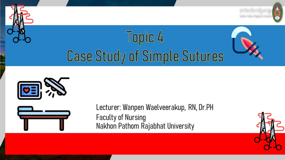



Lecturer: Wanpen Waelveerakup, RN, Dr.PH **Faculty of Nursing** Nakhon Pathom Rajabhat University

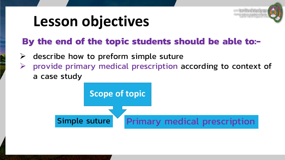

## **Lesson objectives**

#### **By the end of the topic students should be able to:-**

- $\triangleright$  describe how to preform simple suture
- $\triangleright$  provide primary medical prescription according to context of a case study

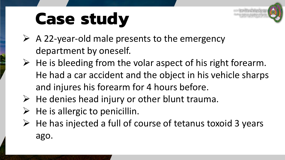

# **Case study**

- $\triangleright$  A 22-year-old male presents to the emergency department by oneself.
- $\triangleright$  He is bleeding from the volar aspect of his right forearm. He had a car accident and the object in his vehicle sharps and injures his forearm for 4 hours before.
- $\triangleright$  He denies head injury or other blunt trauma.
- $\triangleright$  He is allergic to penicillin.
- $\triangleright$  He has injected a full of course of tetanus toxoid 3 years ago.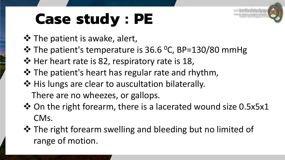# **Case study : PE**

- $\triangle$  The patient is awake, alert,
- $\cdot$  **The patient's temperature is 36.6 °C, BP=130/80 mmHg**
- ❖ Her heart rate is 82, respiratory rate is 18,
- $\lozenge$  The patient's heart has regular rate and rhythm,
- ❖ His lungs are clear to auscultation bilaterally.
	- There are no wheezes, or gallops.
- $\lozenge$  On the right forearm, there is a lacerated wound size 0.5x5x1 CMs.
- $\triangle$  The right forearm swelling and bleeding but no limited of range of motion.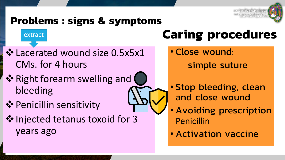

#### **Problems : signs & symptoms**

#### extract

- Lacerated wound size 0.5x5x1 CMs. for 4 hours
- $\dots$  **Right forearm swelling and (** bleeding
- **❖ Penicillin sensitivity**
- ❖ Injected tetanus toxoid for 3 years ago

# **Caring procedures**

- Close wound:
	- simple suture
- Stop bleeding, clean and close wound
- Avoiding prescription Penicillin
- Activation vaccine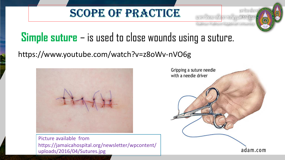#### SCOPE OF PRACTICE



### **Simple suture** – is used to close wounds using a suture.

#### [https://www.youtube.com/watch?v=z8oWv-nVO6g](https://www.microsoft.com/en-us/iegallery)



Picture available from https://jamaicahospital.org/newsletter/wpcontent/ uploads/2016/04/Sutures.jpg

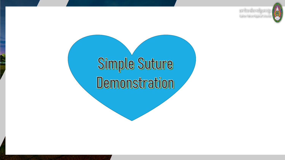

# Simple Suture Demonstration

š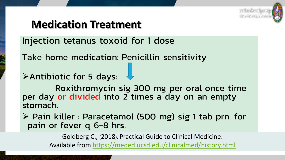

#### **Medication Treatment**

Injection tetanus toxoid for 1 dose

Take home medication: Penicillin sensitivity

Antibiotic for 5 days:

Roxithromycin sig 300 mg per oral once time per day or divided into 2 times a day on an empty stomach.

 $\triangleright$  Pain killer : Paracetamol (500 mg) sig 1 tab prn. for pain or fever q 6-8 hrs.

Goldberg C., (2018). Practical Guide to Clinical Medicine.

Available from<https://meded.ucsd.edu/clinicalmed/history.html>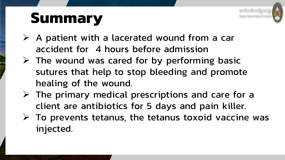

## **Summary**

- $\triangleright$  A patient with a lacerated wound from a car accident for 4 hours before admission
- $\triangleright$  The wound was cared for by performing basic sutures that help to stop bleeding and promote healing of the wound.
- $\triangleright$  The primary medical prescriptions and care for a client are antibiotics for 5 days and pain killer.
- $\triangleright$  To prevents tetanus, the tetanus toxoid vaccine was injected.